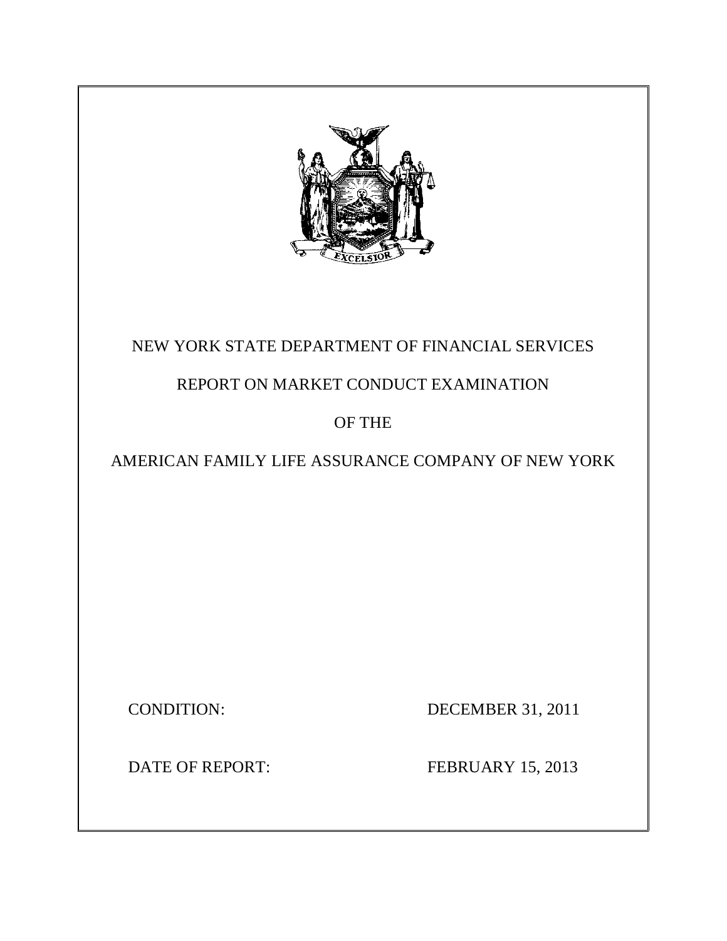

## NEW YORK STATE DEPARTMENT OF FINANCIAL SERVICES

## REPORT ON MARKET CONDUCT EXAMINATION

## OF THE

## AMERICAN FAMILY LIFE ASSURANCE COMPANY OF NEW YORK

**CONDITION:** 

DECEMBER 31, 2011

DATE OF REPORT:

FEBRUARY 15, 2013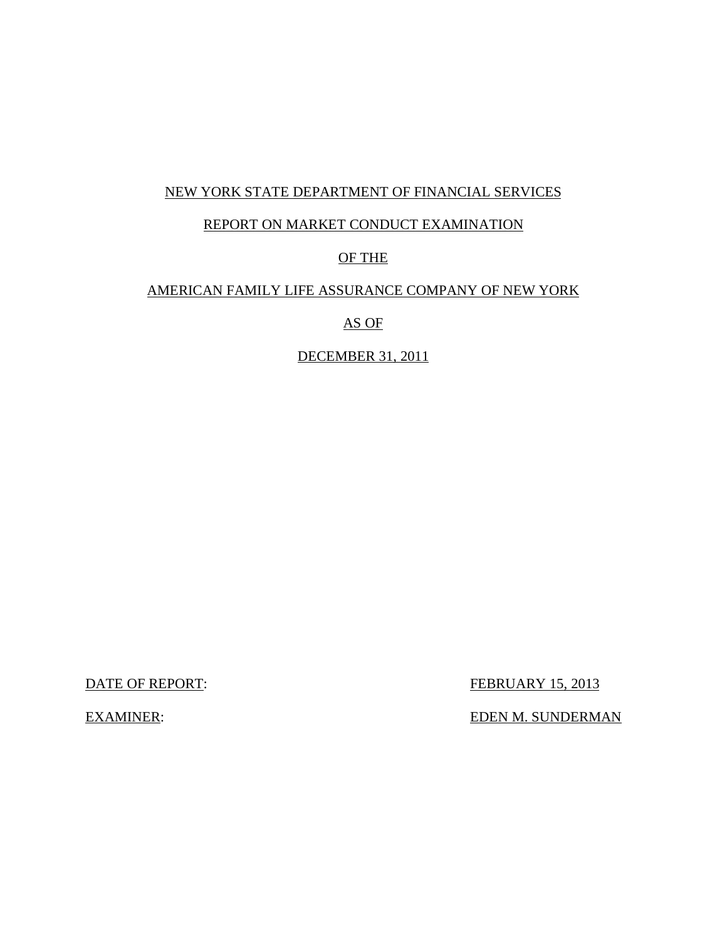#### NEW YORK STATE DEPARTMENT OF FINANCIAL SERVICES

#### REPORT ON MARKET CONDUCT EXAMINATION

#### OF THE

#### AMERICAN FAMILY LIFE ASSURANCE COMPANY OF NEW YORK

AS OF

DECEMBER 31, 2011

DATE OF REPORT:

FEBRUARY 15, 2013

**EXAMINER:** 

EDEN M. SUNDERMAN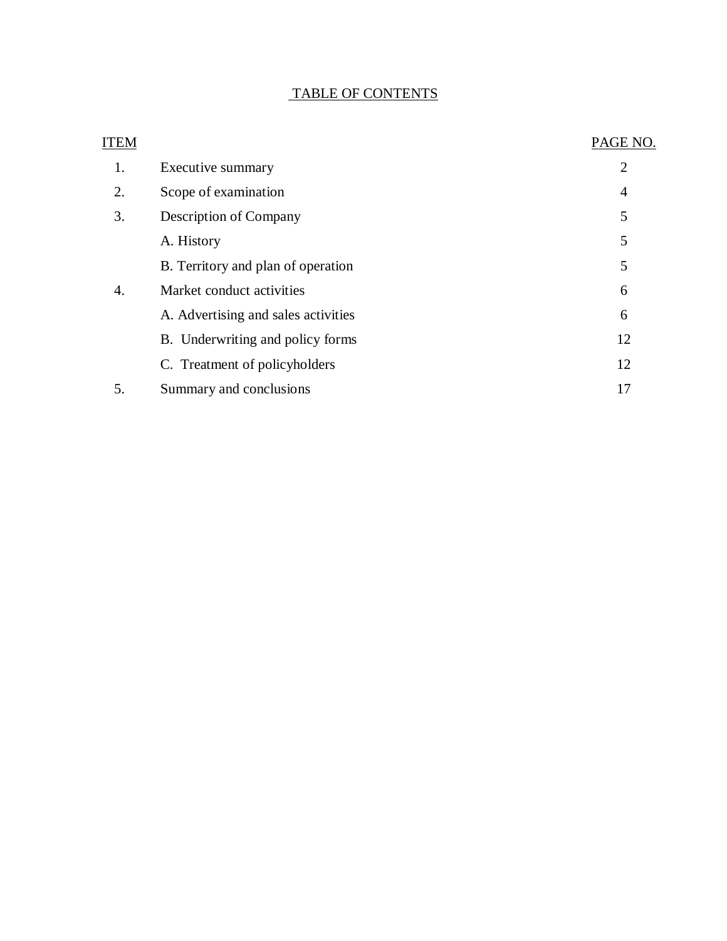#### TABLE OF CONTENTS

| ITEM |                                     | PAGE NO.       |
|------|-------------------------------------|----------------|
| 1.   | Executive summary                   | $\overline{2}$ |
| 2.   | Scope of examination                | $\overline{4}$ |
| 3.   | Description of Company              | 5              |
|      | A. History                          | 5              |
|      | B. Territory and plan of operation  | 5              |
| 4.   | Market conduct activities           | 6              |
|      | A. Advertising and sales activities | 6              |
|      | B. Underwriting and policy forms    | 12             |
|      | C. Treatment of policyholders       | 12             |
| 5.   | Summary and conclusions             | 17             |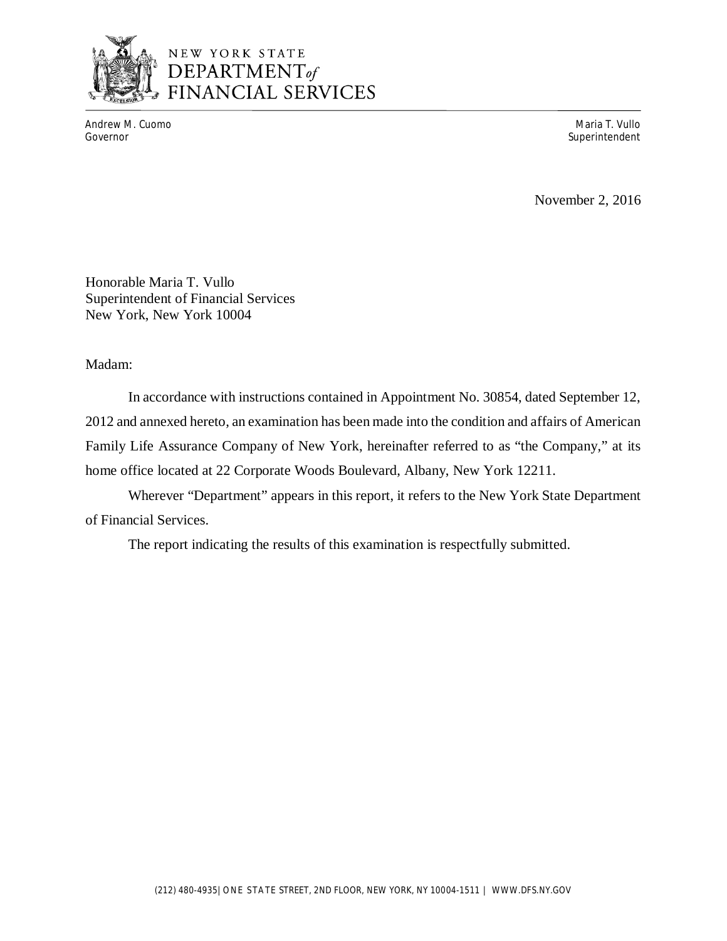

## NEW YORK STATE DEPARTMENT<sub>of</sub> FINANCIAL SERVICES

Andrew M. Cuomo **Maria T. Vullo** Maria T. Vullo Maria T. Vullo Maria T. Vullo Maria T. Vullo Maria T. Vullo Maria T. Vullo Governor Superintendent Controller Controller Controller Controller Controller Controller Controller Controller

November 2, 2016

 Honorable Maria T. Vullo Superintendent of Financial Services New York, New York 10004

Madam:

 2012 and annexed hereto, an examination has been made into the condition and affairs of American Family Life Assurance Company of New York, hereinafter referred to as "the Company," at its home office located at 22 Corporate Woods Boulevard, Albany, New York 12211. In accordance with instructions contained in Appointment No. 30854, dated September 12,

 Wherever "Department" appears in this report, it refers to the New York State Department of Financial Services.

The report indicating the results of this examination is respectfully submitted.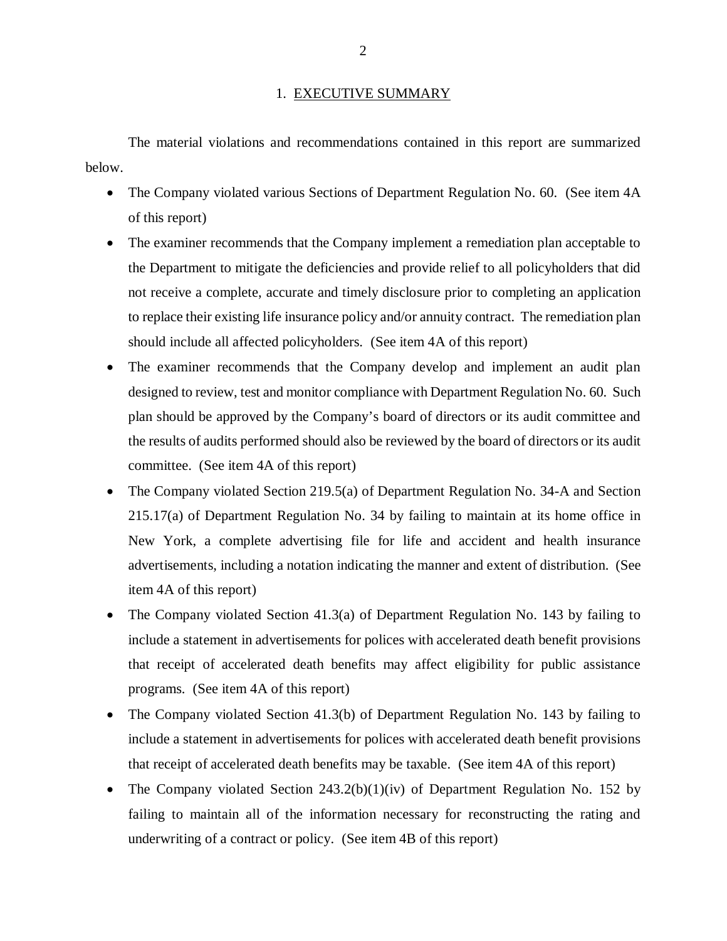#### 1. EXECUTIVE SUMMARY

<span id="page-4-0"></span> The material violations and recommendations contained in this report are summarized below.

- The Company violated various Sections of Department Regulation No. 60. (See item 4A of this report)
- The examiner recommends that the Company implement a remediation plan acceptable to the Department to mitigate the deficiencies and provide relief to all policyholders that did not receive a complete, accurate and timely disclosure prior to completing an application to replace their existing life insurance policy and/or annuity contract. The remediation plan should include all affected policyholders. (See item 4A of this report)
- The examiner recommends that the Company develop and implement an audit plan designed to review, test and monitor compliance with Department Regulation No. 60. Such plan should be approved by the Company's board of directors or its audit committee and the results of audits performed should also be reviewed by the board of directors or its audit committee. (See item 4A of this report)
- The Company violated Section 219.5(a) of Department Regulation No. 34-A and Section 215.17(a) of Department Regulation No. 34 by failing to maintain at its home office in New York, a complete advertising file for life and accident and health insurance advertisements, including a notation indicating the manner and extent of distribution. (See item 4A of this report)
- The Company violated Section 41.3(a) of Department Regulation No. 143 by failing to include a statement in advertisements for polices with accelerated death benefit provisions that receipt of accelerated death benefits may affect eligibility for public assistance programs. (See item 4A of this report)
- The Company violated Section 41.3(b) of Department Regulation No. 143 by failing to include a statement in advertisements for polices with accelerated death benefit provisions that receipt of accelerated death benefits may be taxable. (See item 4A of this report)
- The Company violated Section 243.2(b)(1)(iv) of Department Regulation No. 152 by failing to maintain all of the information necessary for reconstructing the rating and underwriting of a contract or policy. (See item 4B of this report)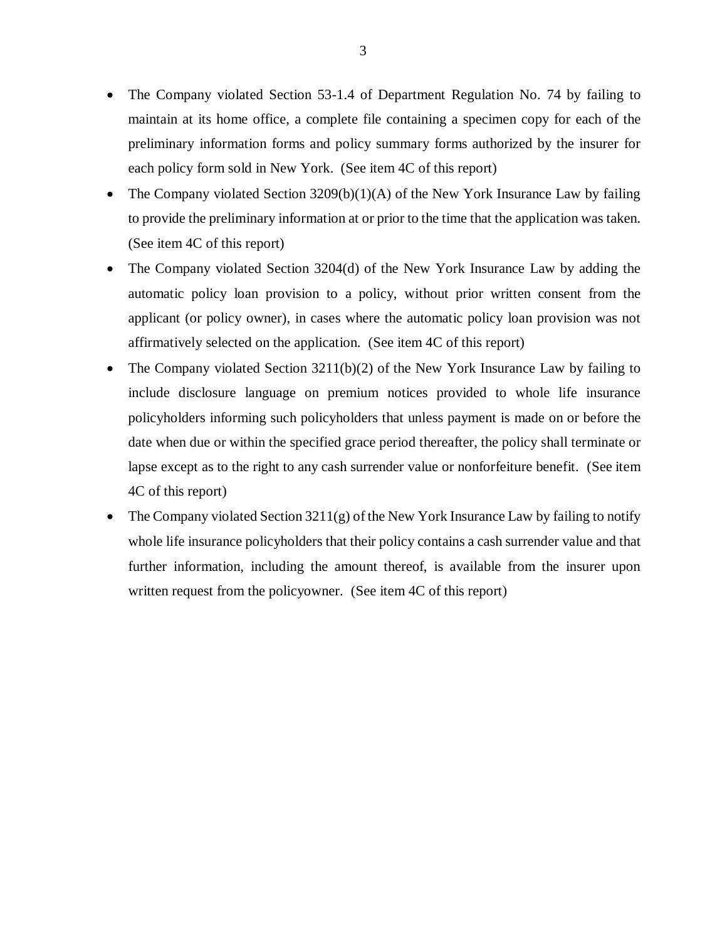- The Company violated Section 53-1.4 of Department Regulation No. 74 by failing to maintain at its home office, a complete file containing a specimen copy for each of the preliminary information forms and policy summary forms authorized by the insurer for each policy form sold in New York. (See item 4C of this report)
- The Company violated Section  $3209(b)(1)(A)$  of the New York Insurance Law by failing to provide the preliminary information at or prior to the time that the application was taken. (See item 4C of this report)
- The Company violated Section 3204(d) of the New York Insurance Law by adding the automatic policy loan provision to a policy, without prior written consent from the applicant (or policy owner), in cases where the automatic policy loan provision was not affirmatively selected on the application. (See item 4C of this report)
- The Company violated Section 3211(b)(2) of the New York Insurance Law by failing to include disclosure language on premium notices provided to whole life insurance policyholders informing such policyholders that unless payment is made on or before the date when due or within the specified grace period thereafter, the policy shall terminate or lapse except as to the right to any cash surrender value or nonforfeiture benefit. (See item 4C of this report)
- The Company violated Section 3211(g) of the New York Insurance Law by failing to notify whole life insurance policyholders that their policy contains a cash surrender value and that further information, including the amount thereof, is available from the insurer upon written request from the policyowner. (See item 4C of this report)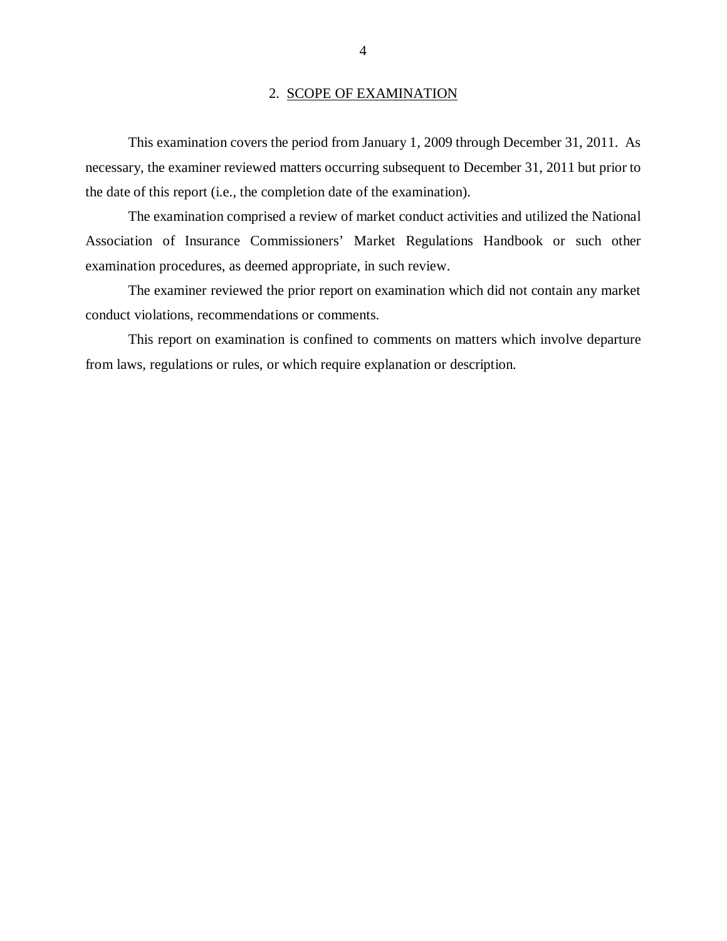#### 2. SCOPE OF EXAMINATION

<span id="page-6-0"></span> necessary, the examiner reviewed matters occurring subsequent to December 31, 2011 but prior to the date of this report (i.e., the completion date of the examination). This examination covers the period from January 1, 2009 through December 31, 2011. As

 Association of Insurance Commissioners' Market Regulations Handbook or such other examination procedures, as deemed appropriate, in such review. The examination comprised a review of market conduct activities and utilized the National

 conduct violations, recommendations or comments. The examiner reviewed the prior report on examination which did not contain any market

 from laws, regulations or rules, or which require explanation or description. This report on examination is confined to comments on matters which involve departure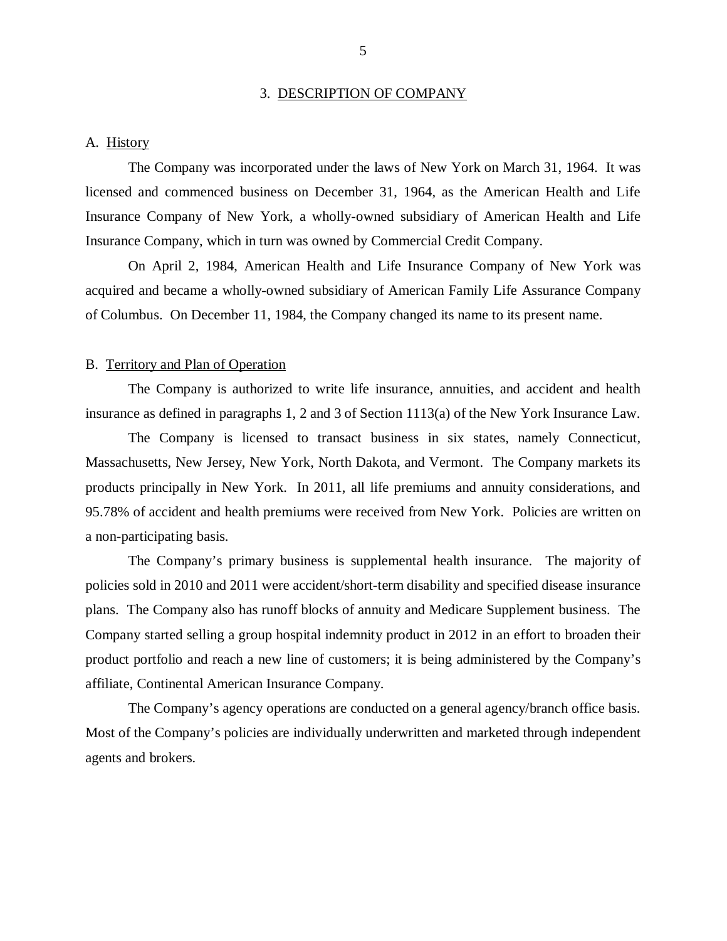#### 3. DESCRIPTION OF COMPANY

#### <span id="page-7-0"></span>A. History

 licensed and commenced business on December 31, 1964, as the American Health and Life Insurance Company of New York, a wholly-owned subsidiary of American Health and Life Insurance Company, which in turn was owned by Commercial Credit Company. The Company was incorporated under the laws of New York on March 31, 1964. It was

 On April 2, 1984, American Health and Life Insurance Company of New York was acquired and became a wholly-owned subsidiary of American Family Life Assurance Company of Columbus. On December 11, 1984, the Company changed its name to its present name.

#### B. Territory and Plan of Operation

 insurance as defined in paragraphs 1, 2 and 3 of Section 1113(a) of the New York Insurance Law. The Company is authorized to write life insurance, annuities, and accident and health

 Massachusetts, New Jersey, New York, North Dakota, and Vermont. The Company markets its products principally in New York. In 2011, all life premiums and annuity considerations, and 95.78% of accident and health premiums were received from New York. Policies are written on The Company is licensed to transact business in six states, namely Connecticut, a non-participating basis.

 policies sold in 2010 and 2011 were accident/short-term disability and specified disease insurance plans. The Company also has runoff blocks of annuity and Medicare Supplement business. The Company started selling a group hospital indemnity product in 2012 in an effort to broaden their product portfolio and reach a new line of customers; it is being administered by the Company's affiliate, Continental American Insurance Company. The Company's primary business is supplemental health insurance. The majority of

 The Company's agency operations are conducted on a general agency/branch office basis. Most of the Company's policies are individually underwritten and marketed through independent agents and brokers.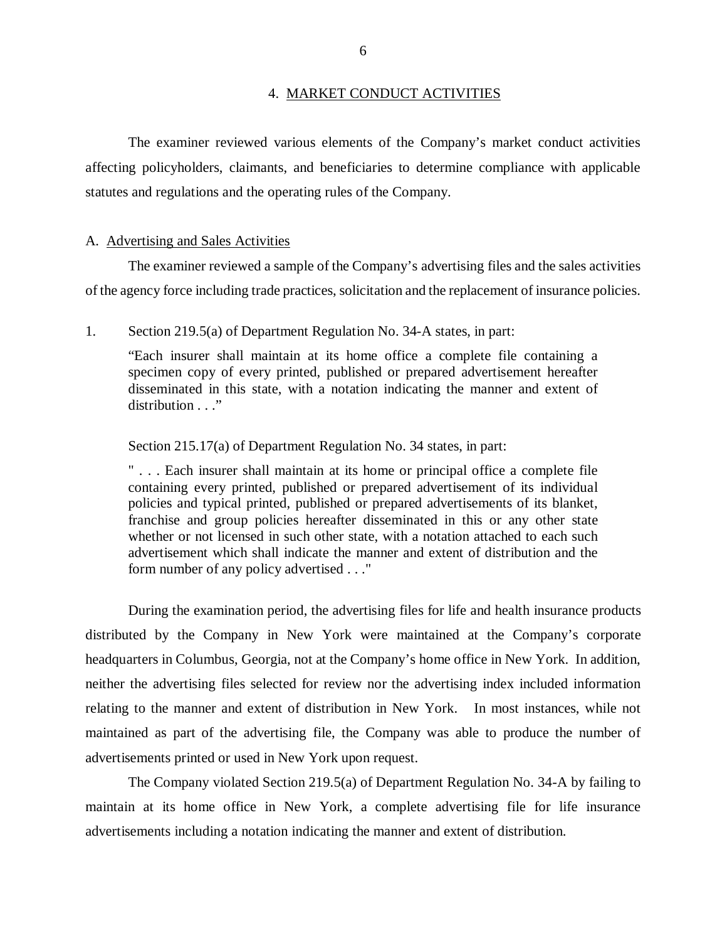#### 4. MARKET CONDUCT ACTIVITIES

<span id="page-8-0"></span> affecting policyholders, claimants, and beneficiaries to determine compliance with applicable statutes and regulations and the operating rules of the Company. The examiner reviewed various elements of the Company's market conduct activities

#### A. Advertising and Sales Activities

 of the agency force including trade practices, solicitation and the replacement of insurance policies. The examiner reviewed a sample of the Company's advertising files and the sales activities

 $1.$ Section 219.5(a) of Department Regulation No. 34-A states, in part:

 "Each insurer shall maintain at its home office a complete file containing a specimen copy of every printed, published or prepared advertisement hereafter disseminated in this state, with a notation indicating the manner and extent of distribution . . ."

Section 215.17(a) of Department Regulation No. 34 states, in part:

 " . . . Each insurer shall maintain at its home or principal office a complete file containing every printed, published or prepared advertisement of its individual policies and typical printed, published or prepared advertisements of its blanket, franchise and group policies hereafter disseminated in this or any other state whether or not licensed in such other state, with a notation attached to each such advertisement which shall indicate the manner and extent of distribution and the form number of any policy advertised . . ."

 During the examination period, the advertising files for life and health insurance products distributed by the Company in New York were maintained at the Company's corporate headquarters in Columbus, Georgia, not at the Company's home office in New York. In addition, neither the advertising files selected for review nor the advertising index included information relating to the manner and extent of distribution in New York. In most instances, while not maintained as part of the advertising file, the Company was able to produce the number of advertisements printed or used in New York upon request.

 The Company violated Section 219.5(a) of Department Regulation No. 34-A by failing to maintain at its home office in New York, a complete advertising file for life insurance advertisements including a notation indicating the manner and extent of distribution.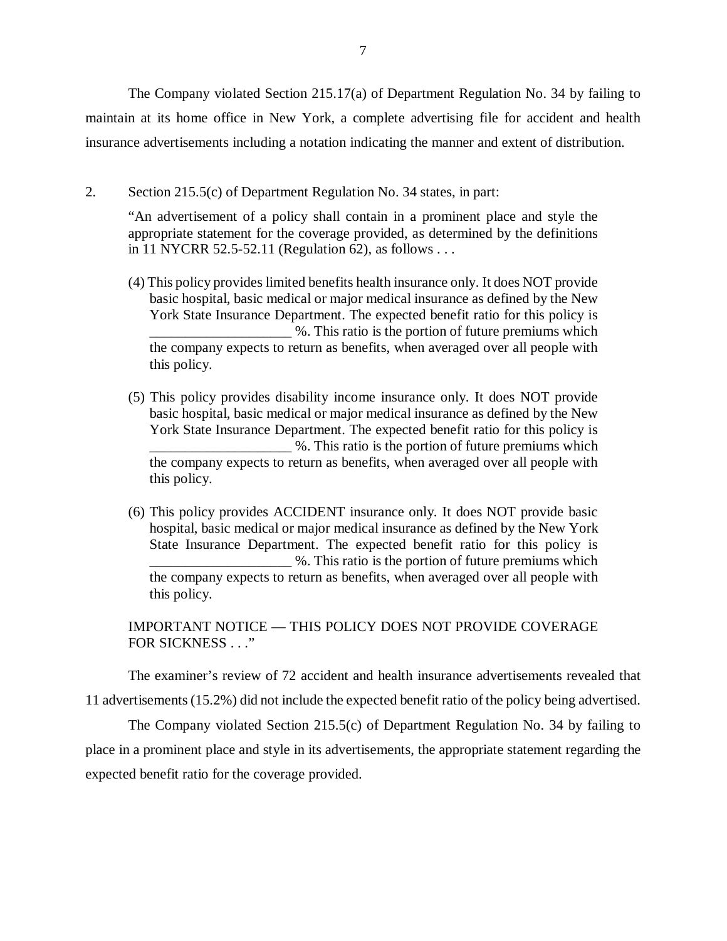The Company violated Section 215.17(a) of Department Regulation No. 34 by failing to maintain at its home office in New York, a complete advertising file for accident and health insurance advertisements including a notation indicating the manner and extent of distribution.

 $\overline{2}$ . Section 215.5(c) of Department Regulation No. 34 states, in part:

 "An advertisement of a policy shall contain in a prominent place and style the appropriate statement for the coverage provided, as determined by the definitions in 11 NYCRR [52.5-52.11](https://52.5-52.11) (Regulation 62), as follows . . .

- (4) This policy provides limited benefits health insurance only. It does NOT provide basic hospital, basic medical or major medical insurance as defined by the New York State Insurance Department. The expected benefit ratio for this policy is \_\_\_\_\_\_\_\_\_\_\_\_\_\_\_\_\_\_\_\_ %. This ratio is the portion of future premiums which the company expects to return as benefits, when averaged over all people with this policy.
- (5) This policy provides disability income insurance only. It does NOT provide basic hospital, basic medical or major medical insurance as defined by the New York State Insurance Department. The expected benefit ratio for this policy is \_\_\_\_\_\_\_\_\_\_\_\_\_\_\_\_\_\_\_\_ %. This ratio is the portion of future premiums which the company expects to return as benefits, when averaged over all people with this policy.
- (6) This policy provides ACCIDENT insurance only. It does NOT provide basic hospital, basic medical or major medical insurance as defined by the New York State Insurance Department. The expected benefit ratio for this policy is \_\_\_\_\_\_\_\_\_\_\_\_\_\_\_\_\_\_\_\_ %. This ratio is the portion of future premiums which the company expects to return as benefits, when averaged over all people with this policy.

#### IMPORTANT NOTICE — THIS POLICY DOES NOT PROVIDE COVERAGE FOR SICKNESS . . ."

 The examiner's review of 72 accident and health insurance advertisements revealed that 11 advertisements (15.2%) did not include the expected benefit ratio of the policy being advertised.

 The Company violated Section 215.5(c) of Department Regulation No. 34 by failing to place in a prominent place and style in its advertisements, the appropriate statement regarding the expected benefit ratio for the coverage provided.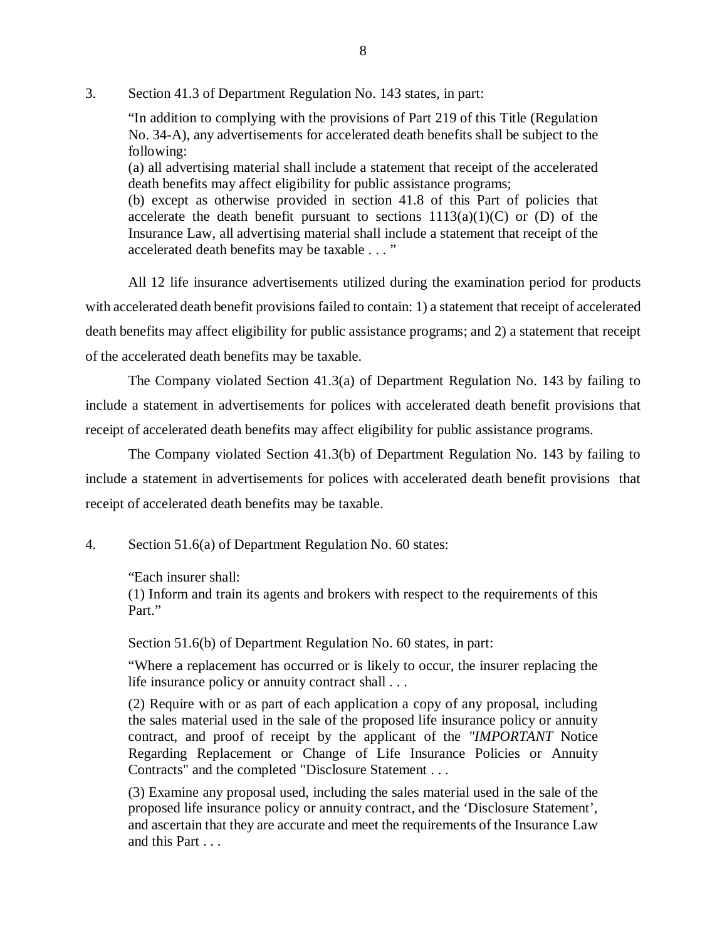$\overline{3}$ . Section 41.3 of Department Regulation No. 143 states, in part:

> "In addition to complying with the provisions of Part 219 of this Title (Regulation No. 34-A), any advertisements for accelerated death benefits shall be subject to the following:

> (a) all advertising material shall include a statement that receipt of the accelerated death benefits may affect eligibility for public assistance programs;

> (b) except as otherwise provided in section 41.8 of this Part of policies that accelerate the death benefit pursuant to sections  $1113(a)(1)(C)$  or  $(D)$  of the Insurance Law, all advertising material shall include a statement that receipt of the accelerated death benefits may be taxable . . . "

 with accelerated death benefit provisions failed to contain: 1) a statement that receipt of accelerated death benefits may affect eligibility for public assistance programs; and 2) a statement that receipt of the accelerated death benefits may be taxable. All 12 life insurance advertisements utilized during the examination period for products

 include a statement in advertisements for polices with accelerated death benefit provisions that receipt of accelerated death benefits may affect eligibility for public assistance programs. The Company violated Section 41.3(a) of Department Regulation No. 143 by failing to

 include a statement in advertisements for polices with accelerated death benefit provisions that receipt of accelerated death benefits may be taxable. The Company violated Section 41.3(b) of Department Regulation No. 143 by failing to

4. Section 51.6(a) of Department Regulation No. 60 states:

"Each insurer shall:

 (1) Inform and train its agents and brokers with respect to the requirements of this Part."

Section 51.6(b) of Department Regulation No. 60 states, in part:

 "Where a replacement has occurred or is likely to occur, the insurer replacing the life insurance policy or annuity contract shall . . .

 (2) Require with or as part of each application a copy of any proposal, including the sales material used in the sale of the proposed life insurance policy or annuity contract, and proof of receipt by the applicant of the *"IMPORTANT* Notice Regarding Replacement or Change of Life Insurance Policies or Annuity Contracts" and the completed "Disclosure Statement . . .

 (3) Examine any proposal used, including the sales material used in the sale of the proposed life insurance policy or annuity contract, and the 'Disclosure Statement', and ascertain that they are accurate and meet the requirements of the Insurance Law and this Part . . .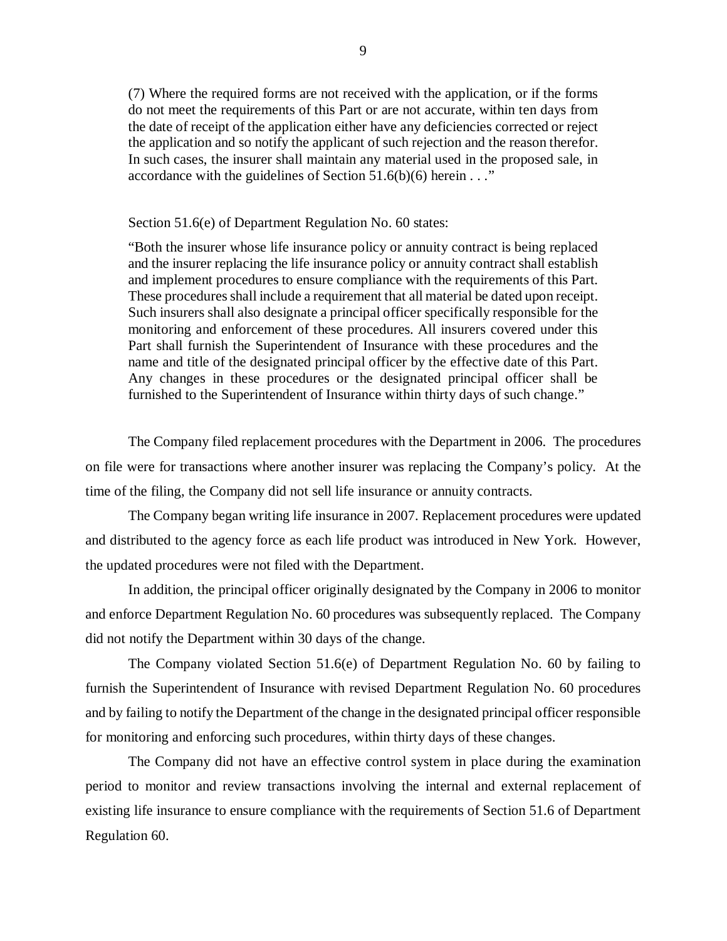(7) Where the required forms are not received with the application, or if the forms do not meet the requirements of this Part or are not accurate, within ten days from the date of receipt of the application either have any deficiencies corrected or reject the application and so notify the applicant of such rejection and the reason therefor. In such cases, the insurer shall maintain any material used in the proposed sale, in accordance with the guidelines of Section 51.6(b)(6) herein . . ."

Section 51.6(e) of Department Regulation No. 60 states:

 "Both the insurer whose life insurance policy or annuity contract is being replaced and the insurer replacing the life insurance policy or annuity contract shall establish and implement procedures to ensure compliance with the requirements of this Part. These procedures shall include a requirement that all material be dated upon receipt. Such insurers shall also designate a principal officer specifically responsible for the monitoring and enforcement of these procedures. All insurers covered under this Part shall furnish the Superintendent of Insurance with these procedures and the name and title of the designated principal officer by the effective date of this Part. Any changes in these procedures or the designated principal officer shall be furnished to the Superintendent of Insurance within thirty days of such change."

 The Company filed replacement procedures with the Department in 2006. The procedures on file were for transactions where another insurer was replacing the Company's policy. At the time of the filing, the Company did not sell life insurance or annuity contracts.

 The Company began writing life insurance in 2007. Replacement procedures were updated and distributed to the agency force as each life product was introduced in New York. However, the updated procedures were not filed with the Department.

 and enforce Department Regulation No. 60 procedures was subsequently replaced. The Company did not notify the Department within 30 days of the change. In addition, the principal officer originally designated by the Company in 2006 to monitor

 The Company violated Section 51.6(e) of Department Regulation No. 60 by failing to furnish the Superintendent of Insurance with revised Department Regulation No. 60 procedures and by failing to notify the Department of the change in the designated principal officer responsible for monitoring and enforcing such procedures, within thirty days of these changes.

 The Company did not have an effective control system in place during the examination period to monitor and review transactions involving the internal and external replacement of existing life insurance to ensure compliance with the requirements of Section 51.6 of Department Regulation 60.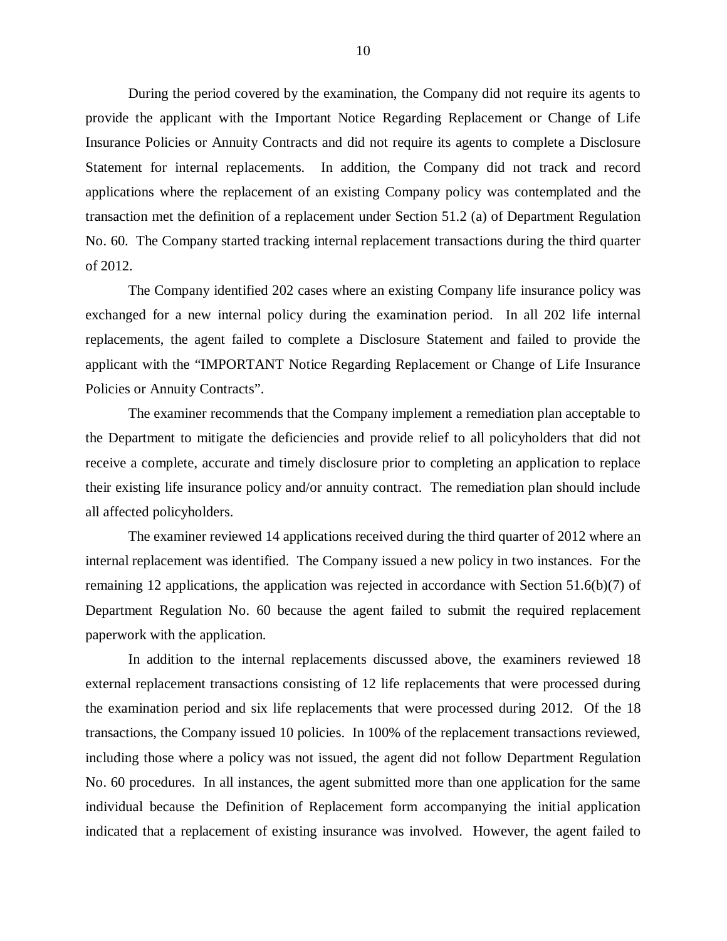During the period covered by the examination, the Company did not require its agents to provide the applicant with the Important Notice Regarding Replacement or Change of Life Insurance Policies or Annuity Contracts and did not require its agents to complete a Disclosure Statement for internal replacements. In addition, the Company did not track and record applications where the replacement of an existing Company policy was contemplated and the transaction met the definition of a replacement under Section 51.2 (a) of Department Regulation No. 60. The Company started tracking internal replacement transactions during the third quarter of 2012.

 The Company identified 202 cases where an existing Company life insurance policy was exchanged for a new internal policy during the examination period. In all 202 life internal replacements, the agent failed to complete a Disclosure Statement and failed to provide the applicant with the "IMPORTANT Notice Regarding Replacement or Change of Life Insurance Policies or Annuity Contracts".

 The examiner recommends that the Company implement a remediation plan acceptable to the Department to mitigate the deficiencies and provide relief to all policyholders that did not receive a complete, accurate and timely disclosure prior to completing an application to replace their existing life insurance policy and/or annuity contract. The remediation plan should include all affected policyholders.

 The examiner reviewed 14 applications received during the third quarter of 2012 where an internal replacement was identified. The Company issued a new policy in two instances. For the remaining 12 applications, the application was rejected in accordance with Section 51.6(b)(7) of Department Regulation No. 60 because the agent failed to submit the required replacement paperwork with the application.

 In addition to the internal replacements discussed above, the examiners reviewed 18 external replacement transactions consisting of 12 life replacements that were processed during the examination period and six life replacements that were processed during 2012. Of the 18 transactions, the Company issued 10 policies. In 100% of the replacement transactions reviewed, including those where a policy was not issued, the agent did not follow Department Regulation No. 60 procedures. In all instances, the agent submitted more than one application for the same individual because the Definition of Replacement form accompanying the initial application indicated that a replacement of existing insurance was involved. However, the agent failed to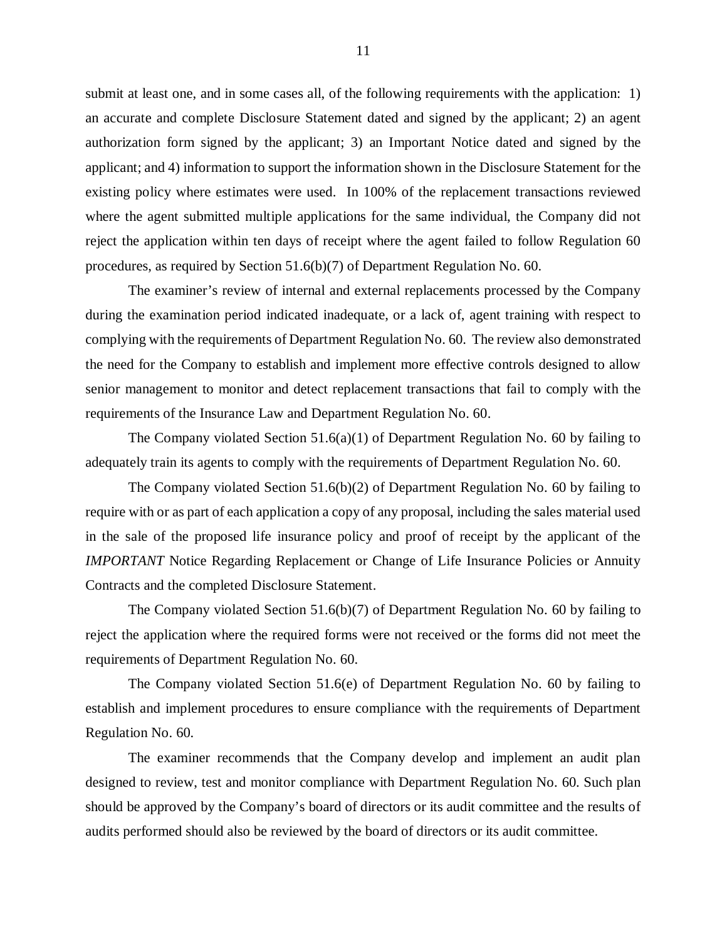submit at least one, and in some cases all, of the following requirements with the application: 1) an accurate and complete Disclosure Statement dated and signed by the applicant; 2) an agent authorization form signed by the applicant; 3) an Important Notice dated and signed by the applicant; and 4) information to support the information shown in the Disclosure Statement for the existing policy where estimates were used. In 100% of the replacement transactions reviewed where the agent submitted multiple applications for the same individual, the Company did not reject the application within ten days of receipt where the agent failed to follow Regulation 60 procedures, as required by Section 51.6(b)(7) of Department Regulation No. 60.

 The examiner's review of internal and external replacements processed by the Company during the examination period indicated inadequate, or a lack of, agent training with respect to complying with the requirements of Department Regulation No. 60. The review also demonstrated the need for the Company to establish and implement more effective controls designed to allow senior management to monitor and detect replacement transactions that fail to comply with the requirements of the Insurance Law and Department Regulation No. 60.

 The Company violated Section 51.6(a)(1) of Department Regulation No. 60 by failing to adequately train its agents to comply with the requirements of Department Regulation No. 60.

 The Company violated Section 51.6(b)(2) of Department Regulation No. 60 by failing to require with or as part of each application a copy of any proposal, including the sales material used in the sale of the proposed life insurance policy and proof of receipt by the applicant of the *IMPORTANT* Notice Regarding Replacement or Change of Life Insurance Policies or Annuity Contracts and the completed Disclosure Statement.

 The Company violated Section 51.6(b)(7) of Department Regulation No. 60 by failing to reject the application where the required forms were not received or the forms did not meet the requirements of Department Regulation No. 60.

 The Company violated Section 51.6(e) of Department Regulation No. 60 by failing to establish and implement procedures to ensure compliance with the requirements of Department Regulation No. 60.

 The examiner recommends that the Company develop and implement an audit plan designed to review, test and monitor compliance with Department Regulation No. 60. Such plan should be approved by the Company's board of directors or its audit committee and the results of audits performed should also be reviewed by the board of directors or its audit committee.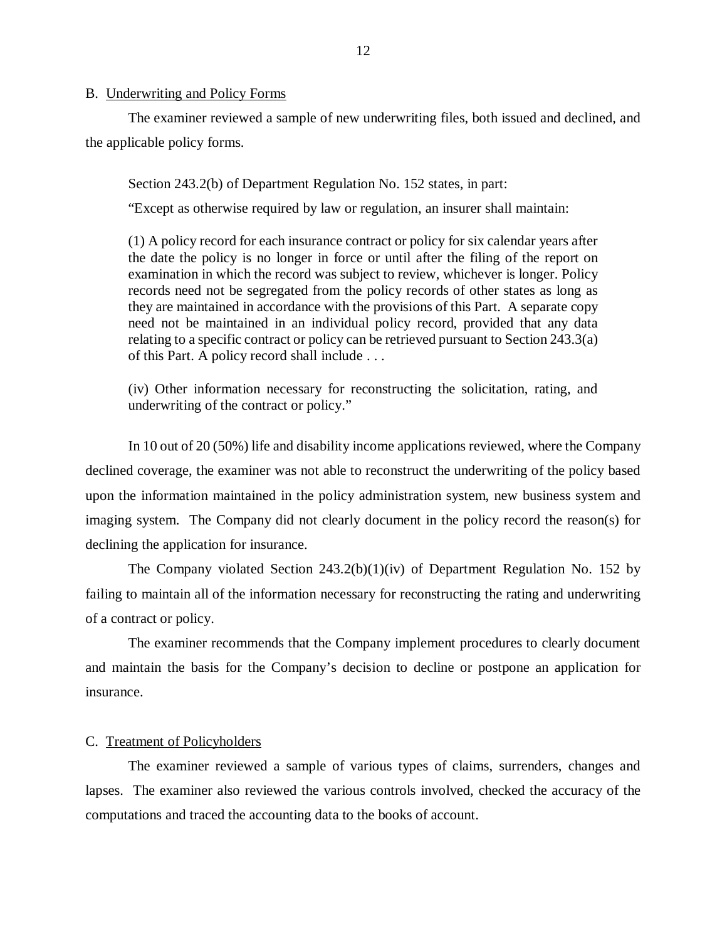#### <span id="page-14-0"></span>B. Underwriting and Policy Forms

 the applicable policy forms. The examiner reviewed a sample of new underwriting files, both issued and declined, and

Section 243.2(b) of Department Regulation No. 152 states, in part:

"Except as otherwise required by law or regulation, an insurer shall maintain:

 (1) A policy record for each insurance contract or policy for six calendar years after the date the policy is no longer in force or until after the filing of the report on examination in which the record was subject to review, whichever is longer. Policy records need not be segregated from the policy records of other states as long as they are maintained in accordance with the provisions of this Part. A separate copy need not be maintained in an individual policy record, provided that any data relating to a specific contract or policy can be retrieved pursuant to Section 243.3(a) of this Part. A policy record shall include . . .

 (iv) Other information necessary for reconstructing the solicitation, rating, and underwriting of the contract or policy."

 In 10 out of 20 (50%) life and disability income applications reviewed, where the Company declined coverage, the examiner was not able to reconstruct the underwriting of the policy based upon the information maintained in the policy administration system, new business system and imaging system. The Company did not clearly document in the policy record the reason(s) for declining the application for insurance.

 The Company violated Section 243.2(b)(1)(iv) of Department Regulation No. 152 by failing to maintain all of the information necessary for reconstructing the rating and underwriting of a contract or policy.

 The examiner recommends that the Company implement procedures to clearly document and maintain the basis for the Company's decision to decline or postpone an application for insurance.

#### C. Treatment of Policyholders

 lapses. The examiner also reviewed the various controls involved, checked the accuracy of the computations and traced the accounting data to the books of account. The examiner reviewed a sample of various types of claims, surrenders, changes and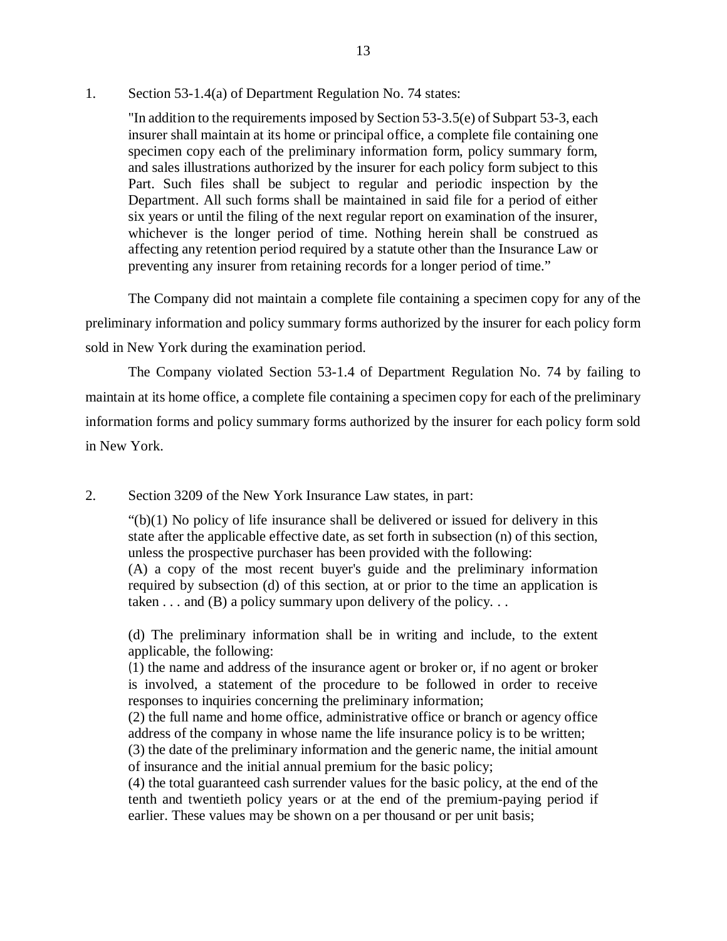$1.$ Section 53-1.4(a) of Department Regulation No. 74 states:

> "In addition to the requirements imposed by Section 53-3.5(e) of Subpart 53-3, each insurer shall maintain at its home or principal office, a complete file containing one specimen copy each of the preliminary information form, policy summary form, and sales illustrations authorized by the insurer for each policy form subject to this Part. Such files shall be subject to regular and periodic inspection by the Department. All such forms shall be maintained in said file for a period of either six years or until the filing of the next regular report on examination of the insurer, whichever is the longer period of time. Nothing herein shall be construed as affecting any retention period required by a statute other than the Insurance Law or preventing any insurer from retaining records for a longer period of time."

 The Company did not maintain a complete file containing a specimen copy for any of the preliminary information and policy summary forms authorized by the insurer for each policy form sold in New York during the examination period.

 The Company violated Section 53-1.4 of Department Regulation No. 74 by failing to maintain at its home office, a complete file containing a specimen copy for each of the preliminary information forms and policy summary forms authorized by the insurer for each policy form sold in New York.

 $\overline{2}$ . Section 3209 of the New York Insurance Law states, in part:

> $\mathfrak{b}(1)$  No policy of life insurance shall be delivered or issued for delivery in this state after the applicable effective date, as set forth in subsection (n) of this section, unless the prospective purchaser has been provided with the following:

> (A) a copy of the most recent buyer's guide and the preliminary information required by subsection (d) of this section, at or prior to the time an application is taken . . . and (B) a policy summary upon delivery of the policy. . .

> (d) The preliminary information shall be in writing and include, to the extent applicable, the following:

> (1) the name and address of the insurance agent or broker or, if no agent or broker is involved, a statement of the procedure to be followed in order to receive responses to inquiries concerning the preliminary information;

> (2) the full name and home office, administrative office or branch or agency office address of the company in whose name the life insurance policy is to be written;

> (3) the date of the preliminary information and the generic name, the initial amount of insurance and the initial annual premium for the basic policy;

> (4) the total guaranteed cash surrender values for the basic policy, at the end of the tenth and twentieth policy years or at the end of the premium-paying period if earlier. These values may be shown on a per thousand or per unit basis;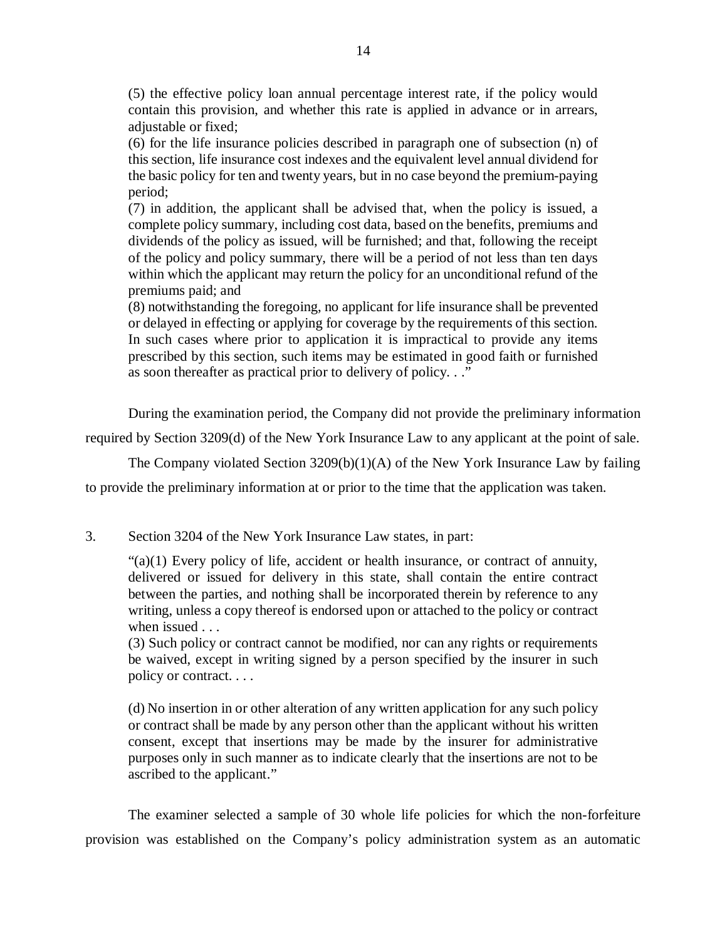(5) the effective policy loan annual percentage interest rate, if the policy would contain this provision, and whether this rate is applied in advance or in arrears, adjustable or fixed;

 this section, life insurance cost indexes and the equivalent level annual dividend for the basic policy for ten and twenty years, but in no case beyond the premium-paying (6) for the life insurance policies described in paragraph one of subsection (n) of period;

 (7) in addition, the applicant shall be advised that, when the policy is issued, a complete policy summary, including cost data, based on the benefits, premiums and dividends of the policy as issued, will be furnished; and that, following the receipt of the policy and policy summary, there will be a period of not less than ten days within which the applicant may return the policy for an unconditional refund of the premiums paid; and

 (8) notwithstanding the foregoing, no applicant for life insurance shall be prevented or delayed in effecting or applying for coverage by the requirements of this section. In such cases where prior to application it is impractical to provide any items prescribed by this section, such items may be estimated in good faith or furnished as soon thereafter as practical prior to delivery of policy. . ."

During the examination period, the Company did not provide the preliminary information

required by Section 3209(d) of the New York Insurance Law to any applicant at the point of sale.

The Company violated Section 3209(b)(1)(A) of the New York Insurance Law by failing

to provide the preliminary information at or prior to the time that the application was taken.

 $\overline{3}$ . Section 3204 of the New York Insurance Law states, in part:

> "(a)(1) Every policy of life, accident or health insurance, or contract of annuity, delivered or issued for delivery in this state, shall contain the entire contract between the parties, and nothing shall be incorporated therein by reference to any writing, unless a copy thereof is endorsed upon or attached to the policy or contract when issued . . .

> (3) Such policy or contract cannot be modified, nor can any rights or requirements be waived, except in writing signed by a person specified by the insurer in such policy or contract. . . .

> (d) No insertion in or other alteration of any written application for any such policy or contract shall be made by any person other than the applicant without his written consent, except that insertions may be made by the insurer for administrative purposes only in such manner as to indicate clearly that the insertions are not to be ascribed to the applicant."

 The examiner selected a sample of 30 whole life policies for which the non-forfeiture provision was established on the Company's policy administration system as an automatic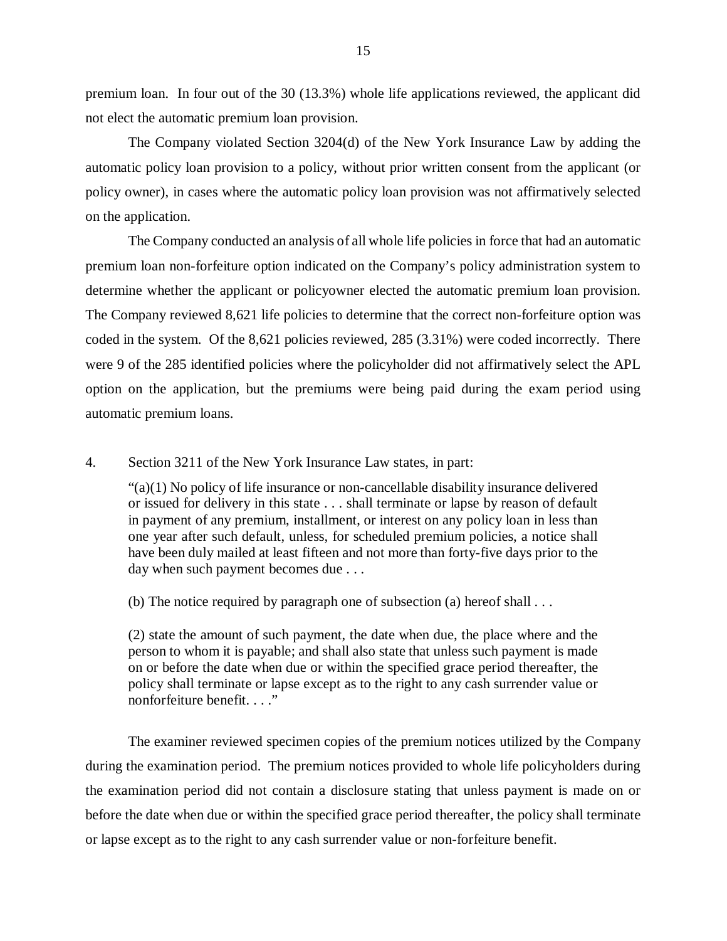premium loan. In four out of the 30 (13.3%) whole life applications reviewed, the applicant did not elect the automatic premium loan provision.

 The Company violated Section 3204(d) of the New York Insurance Law by adding the automatic policy loan provision to a policy, without prior written consent from the applicant (or policy owner), in cases where the automatic policy loan provision was not affirmatively selected on the application.

 premium loan non-forfeiture option indicated on the Company's policy administration system to determine whether the applicant or policyowner elected the automatic premium loan provision. The Company reviewed 8,621 life policies to determine that the correct non-forfeiture option was coded in the system. Of the 8,621 policies reviewed, 285 (3.31%) were coded incorrectly. There were 9 of the 285 identified policies where the policyholder did not affirmatively select the APL option on the application, but the premiums were being paid during the exam period using automatic premium loans. The Company conducted an analysis of all whole life policies in force that had an automatic

 $\overline{4}$ . Section 3211 of the New York Insurance Law states, in part:

> "(a)(1) No policy of life insurance or non-cancellable disability insurance delivered or issued for delivery in this state . . . shall terminate or lapse by reason of default in payment of any premium, installment, or interest on any policy loan in less than one year after such default, unless, for scheduled premium policies, a notice shall have been duly mailed at least fifteen and not more than forty-five days prior to the day when such payment becomes due . . .

(b) The notice required by paragraph one of subsection (a) hereof shall . . .

 (2) state the amount of such payment, the date when due, the place where and the person to whom it is payable; and shall also state that unless such payment is made on or before the date when due or within the specified grace period thereafter, the policy shall terminate or lapse except as to the right to any cash surrender value or nonforfeiture benefit. . . ."

 The examiner reviewed specimen copies of the premium notices utilized by the Company during the examination period. The premium notices provided to whole life policyholders during the examination period did not contain a disclosure stating that unless payment is made on or before the date when due or within the specified grace period thereafter, the policy shall terminate or lapse except as to the right to any cash surrender value or non-forfeiture benefit.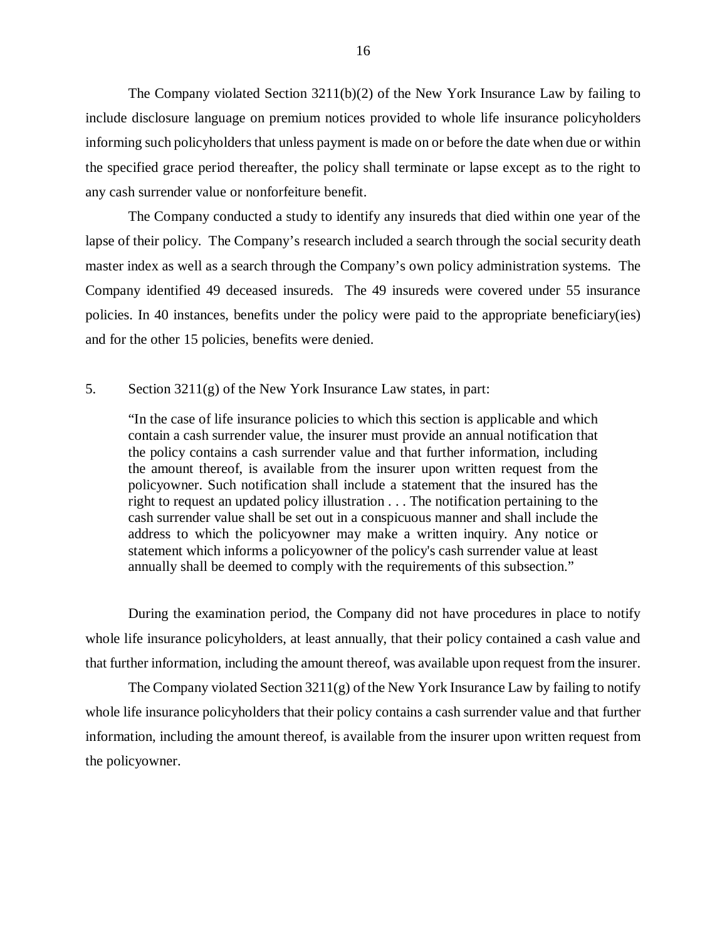The Company violated Section 3211(b)(2) of the New York Insurance Law by failing to include disclosure language on premium notices provided to whole life insurance policyholders informing such policyholders that unless payment is made on or before the date when due or within the specified grace period thereafter, the policy shall terminate or lapse except as to the right to any cash surrender value or nonforfeiture benefit.

 The Company conducted a study to identify any insureds that died within one year of the lapse of their policy. The Company's research included a search through the social security death master index as well as a search through the Company's own policy administration systems. The Company identified 49 deceased insureds. The 49 insureds were covered under 55 insurance policies. In 40 instances, benefits under the policy were paid to the appropriate beneficiary(ies) and for the other 15 policies, benefits were denied.

#### 5. Section  $3211(g)$  of the New York Insurance Law states, in part:

 "In the case of life insurance policies to which this section is applicable and which contain a cash surrender value, the insurer must provide an annual notification that the policy contains a cash surrender value and that further information, including the amount thereof, is available from the insurer upon written request from the policyowner. Such notification shall include a statement that the insured has the right to request an updated policy illustration . . . The notification pertaining to the cash surrender value shall be set out in a conspicuous manner and shall include the address to which the policyowner may make a written inquiry. Any notice or statement which informs a policyowner of the policy's cash surrender value at least annually shall be deemed to comply with the requirements of this subsection."

 During the examination period, the Company did not have procedures in place to notify whole life insurance policyholders, at least annually, that their policy contained a cash value and that further information, including the amount thereof, was available upon request from the insurer.

 The Company violated Section 3211(g) of the New York Insurance Law by failing to notify whole life insurance policyholders that their policy contains a cash surrender value and that further information, including the amount thereof, is available from the insurer upon written request from the policyowner.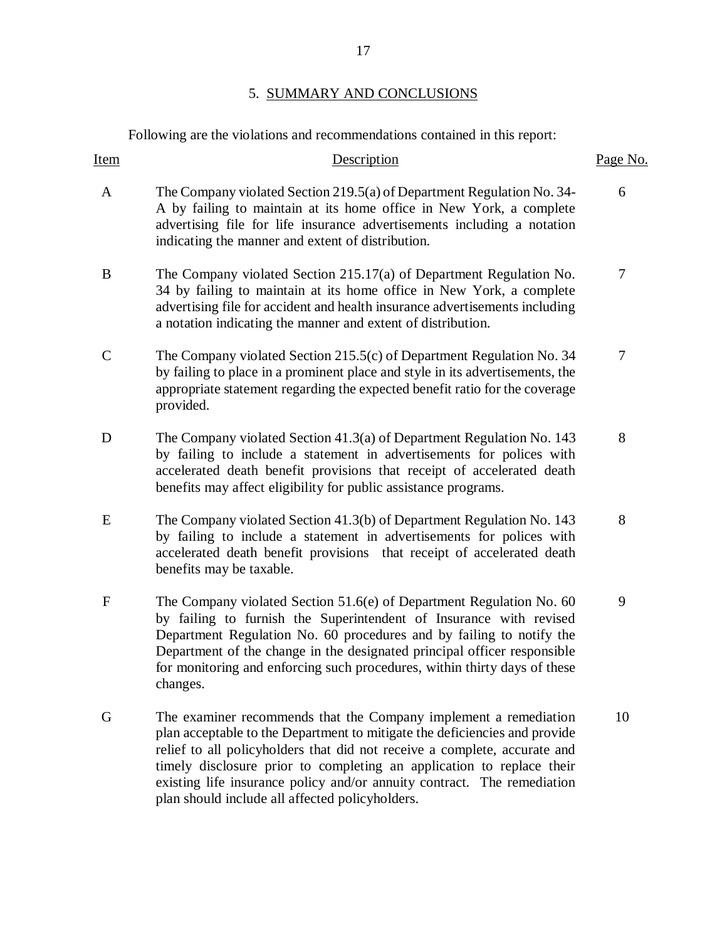#### 5. SUMMARY AND CONCLUSIONS

Following are the violations and recommendations contained in this report:

| Item         | Description                                                                                                                                                                                                                                                                                                                                                                             | Page No. |
|--------------|-----------------------------------------------------------------------------------------------------------------------------------------------------------------------------------------------------------------------------------------------------------------------------------------------------------------------------------------------------------------------------------------|----------|
| A            | The Company violated Section 219.5(a) of Department Regulation No. 34-<br>A by failing to maintain at its home office in New York, a complete<br>advertising file for life insurance advertisements including a notation<br>indicating the manner and extent of distribution.                                                                                                           | 6        |
| B            | The Company violated Section 215.17(a) of Department Regulation No.<br>34 by failing to maintain at its home office in New York, a complete<br>advertising file for accident and health insurance advertisements including<br>a notation indicating the manner and extent of distribution.                                                                                              | 7        |
| $\mathsf{C}$ | The Company violated Section 215.5(c) of Department Regulation No. 34<br>by failing to place in a prominent place and style in its advertisements, the<br>appropriate statement regarding the expected benefit ratio for the coverage<br>provided.                                                                                                                                      | 7        |
| D            | The Company violated Section 41.3(a) of Department Regulation No. 143<br>by failing to include a statement in advertisements for polices with<br>accelerated death benefit provisions that receipt of accelerated death<br>benefits may affect eligibility for public assistance programs.                                                                                              | 8        |
| E            | The Company violated Section 41.3(b) of Department Regulation No. 143<br>by failing to include a statement in advertisements for polices with<br>accelerated death benefit provisions that receipt of accelerated death<br>benefits may be taxable.                                                                                                                                     | 8        |
| $\mathbf F$  | The Company violated Section 51.6(e) of Department Regulation No. 60<br>by failing to furnish the Superintendent of Insurance with revised<br>Department Regulation No. 60 procedures and by failing to notify the<br>Department of the change in the designated principal officer responsible<br>for monitoring and enforcing such procedures, within thirty days of these<br>changes. | 9        |
| G            | The examiner recommends that the Company implement a remediation<br>plan acceptable to the Department to mitigate the deficiencies and provide<br>relief to all policyholders that did not receive a complete, accurate and<br>timely disclosure prior to completing an application to replace their<br>existing life insurance policy and/or annuity contract. The remediation         | 10       |

plan should include all affected policyholders.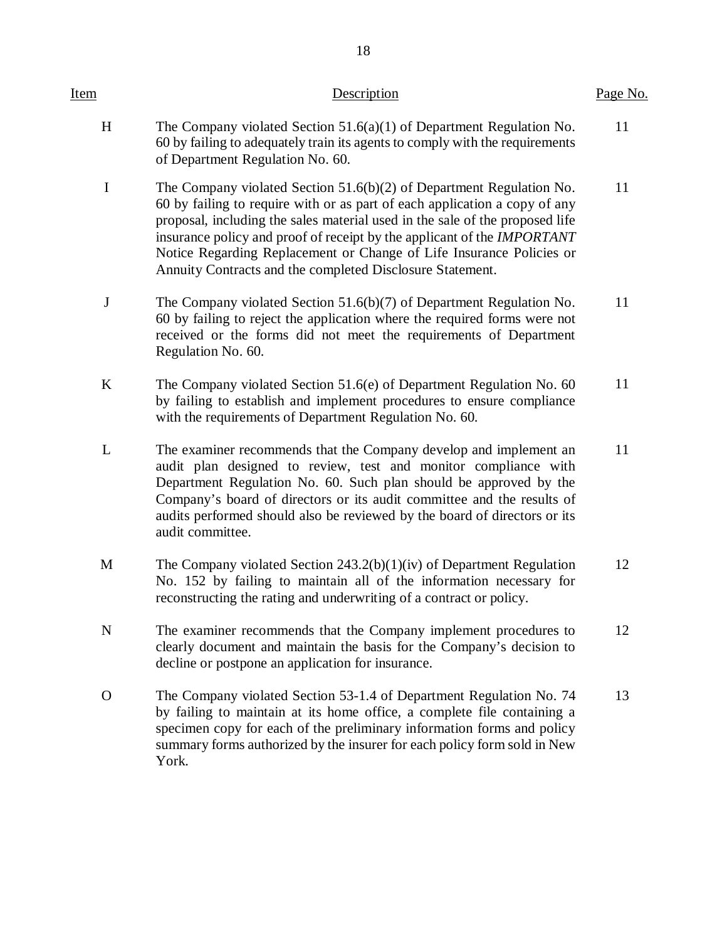| <u>Item</u> | Description                                                                                                                                                                                                                                                                                                                                                                                                                                                 | Page No. |
|-------------|-------------------------------------------------------------------------------------------------------------------------------------------------------------------------------------------------------------------------------------------------------------------------------------------------------------------------------------------------------------------------------------------------------------------------------------------------------------|----------|
| H           | The Company violated Section $51.6(a)(1)$ of Department Regulation No.<br>60 by failing to adequately train its agents to comply with the requirements<br>of Department Regulation No. 60.                                                                                                                                                                                                                                                                  | 11       |
| I           | The Company violated Section $51.6(b)(2)$ of Department Regulation No.<br>60 by failing to require with or as part of each application a copy of any<br>proposal, including the sales material used in the sale of the proposed life<br>insurance policy and proof of receipt by the applicant of the <i>IMPORTANT</i><br>Notice Regarding Replacement or Change of Life Insurance Policies or<br>Annuity Contracts and the completed Disclosure Statement. | 11       |
| $\bf J$     | The Company violated Section $51.6(b)(7)$ of Department Regulation No.<br>60 by failing to reject the application where the required forms were not<br>received or the forms did not meet the requirements of Department<br>Regulation No. 60.                                                                                                                                                                                                              | 11       |
| $\bf K$     | The Company violated Section 51.6(e) of Department Regulation No. 60<br>by failing to establish and implement procedures to ensure compliance<br>with the requirements of Department Regulation No. 60.                                                                                                                                                                                                                                                     | 11       |
| L           | The examiner recommends that the Company develop and implement an<br>audit plan designed to review, test and monitor compliance with<br>Department Regulation No. 60. Such plan should be approved by the<br>Company's board of directors or its audit committee and the results of<br>audits performed should also be reviewed by the board of directors or its<br>audit committee.                                                                        | 11       |
| M           | The Company violated Section $243.2(b)(1)(iv)$ of Department Regulation<br>No. 152 by failing to maintain all of the information necessary for<br>reconstructing the rating and underwriting of a contract or policy.                                                                                                                                                                                                                                       | 12       |
| N           | The examiner recommends that the Company implement procedures to<br>clearly document and maintain the basis for the Company's decision to<br>decline or postpone an application for insurance.                                                                                                                                                                                                                                                              | 12       |
| $\Omega$    | The Company violated Section 53-1.4 of Department Regulation No. 74<br>by failing to maintain at its home office, a complete file containing a<br>specimen copy for each of the preliminary information forms and policy<br>summary forms authorized by the insurer for each policy form sold in New<br>York.                                                                                                                                               | 13       |
|             |                                                                                                                                                                                                                                                                                                                                                                                                                                                             |          |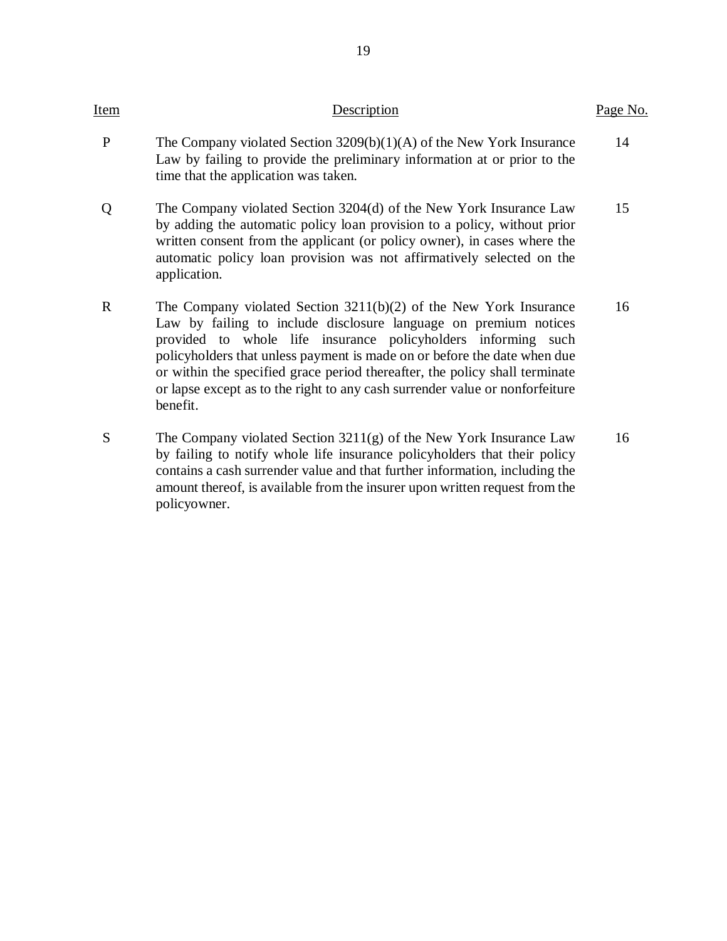| Item         | Description                                                                                                                                                                                                                                                                                                                                                                                                                                                     | Page No. |
|--------------|-----------------------------------------------------------------------------------------------------------------------------------------------------------------------------------------------------------------------------------------------------------------------------------------------------------------------------------------------------------------------------------------------------------------------------------------------------------------|----------|
| $\mathbf{P}$ | The Company violated Section $3209(b)(1)(A)$ of the New York Insurance<br>Law by failing to provide the preliminary information at or prior to the<br>time that the application was taken.                                                                                                                                                                                                                                                                      | 14       |
| Q            | The Company violated Section 3204(d) of the New York Insurance Law<br>by adding the automatic policy loan provision to a policy, without prior<br>written consent from the applicant (or policy owner), in cases where the<br>automatic policy loan provision was not affirmatively selected on the<br>application.                                                                                                                                             | 15       |
| $\mathbf{R}$ | The Company violated Section $3211(b)(2)$ of the New York Insurance<br>Law by failing to include disclosure language on premium notices<br>provided to whole life insurance policyholders informing such<br>policyholders that unless payment is made on or before the date when due<br>or within the specified grace period thereafter, the policy shall terminate<br>or lapse except as to the right to any cash surrender value or nonforfeiture<br>benefit. | 16       |
| S            | The Company violated Section $3211(g)$ of the New York Insurance Law<br>by failing to notify whole life insurance policyholders that their policy<br>contains a cash surrender value and that further information, including the<br>amount thereof, is available from the insurer upon written request from the<br>policyowner.                                                                                                                                 | 16       |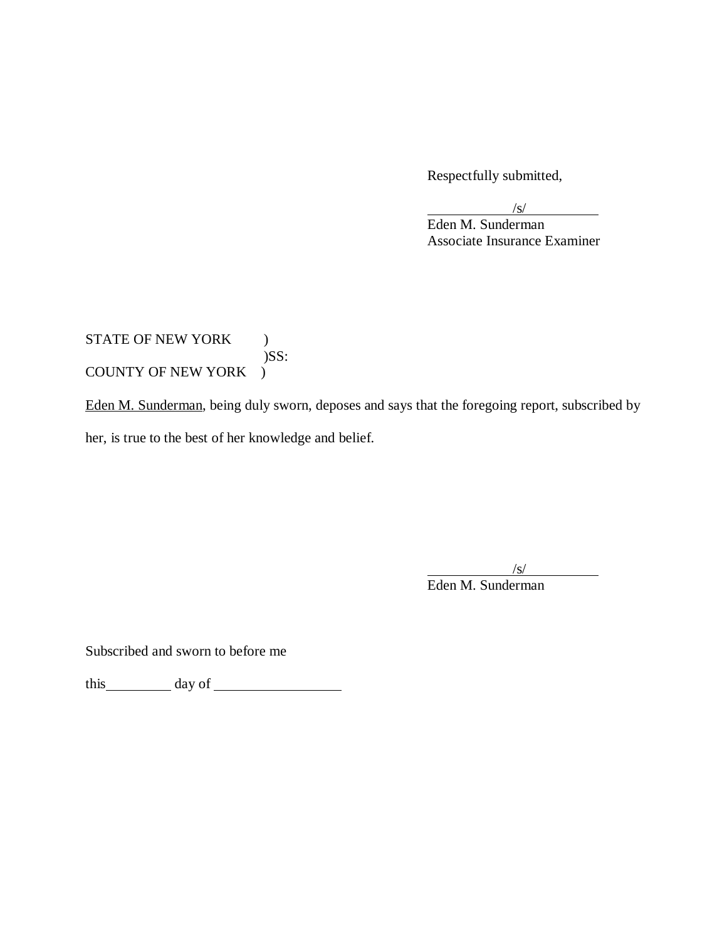Respectfully submitted,

 $\sqrt{s}$ /

Eden M. Sunderman Associate Insurance Examiner

### STATE OF NEW YORK ) COUNTY OF NEW YORK ) )SS:

Eden M. Sunderman, being duly sworn, deposes and says that the foregoing report, subscribed by her, is true to the best of her knowledge and belief.

 $\sqrt{s}$ /

Eden M. Sunderman

Subscribed and sworn to before me

this day of